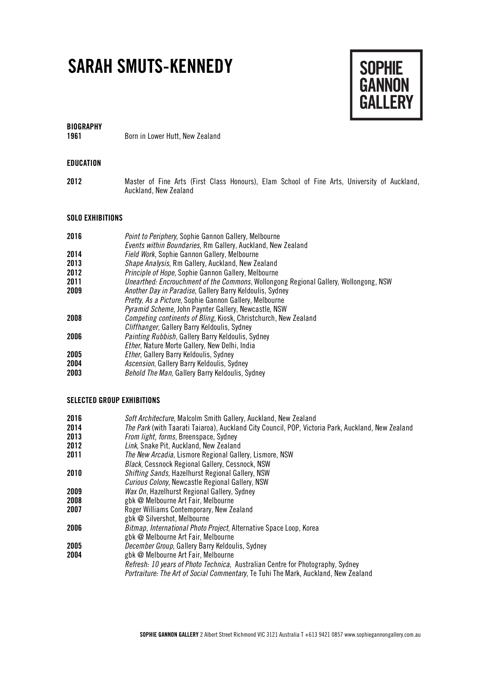# **SARAH SMUTS-KENNEDY**



**BIOGRAPHY**

**1961** Born in Lower Hutt, New Zealand

## **EDUCATION**

**2012** Master of Fine Arts (First Class Honours), Elam School of Fine Arts, University of Auckland, Auckland, New Zealand

#### **SOLO EXHIBITIONS**

| 2016 | Point to Periphery, Sophie Gannon Gallery, Melbourne<br>Events within Boundaries, Rm Gallery, Auckland, New Zealand |
|------|---------------------------------------------------------------------------------------------------------------------|
| 2014 | Field Work, Sophie Gannon Gallery, Melbourne                                                                        |
| 2013 | Shape Analysis, Rm Gallery, Auckland, New Zealand                                                                   |
| 2012 | Principle of Hope, Sophie Gannon Gallery, Melbourne                                                                 |
| 2011 | Unearthed: Encrouchment of the Commons, Wollongong Regional Gallery, Wollongong, NSW                                |
| 2009 | <i>Another Day in Paradise</i> , Gallery Barry Keldoulis, Sydney                                                    |
|      | <i>Pretty, As a Picture, Sophie Gannon Gallery, Melbourne</i>                                                       |
|      | <i>Pyramid Scheme</i> , John Paynter Gallery, Newcastle, NSW                                                        |
| 2008 | Competing continents of Bling, Kiosk, Christchurch, New Zealand                                                     |
|      | Cliffhanger, Gallery Barry Keldoulis, Sydney                                                                        |
| 2006 | <i>Painting Rubbish</i> , Gallery Barry Keldoulis, Sydney                                                           |
|      | Ether, Nature Morte Gallery, New Delhi, India                                                                       |
| 2005 | <i>Ether</i> , Gallery Barry Keldoulis, Sydney                                                                      |
| 2004 | <i>Ascension</i> , Gallery Barry Keldoulis, Sydney                                                                  |
| 2003 | Behold The Man, Gallery Barry Keldoulis, Sydney                                                                     |

## **SELECTED GROUP EXHIBITIONS**

| 2016 | Soft Architecture, Malcolm Smith Gallery, Auckland, New Zealand                                   |
|------|---------------------------------------------------------------------------------------------------|
| 2014 | The Park (with Taarati Taiaroa), Auckland City Council, POP, Victoria Park, Auckland, New Zealand |
| 2013 | From light, forms, Breenspace, Sydney                                                             |
| 2012 | Link, Snake Pit, Auckland, New Zealand                                                            |
| 2011 | <i>The New Arcadia</i> , Lismore Regional Gallery, Lismore, NSW                                   |
|      | <b>Black, Cessnock Regional Gallery, Cessnock, NSW</b>                                            |
| 2010 | <b>Shifting Sands, Hazelhurst Regional Gallery, NSW</b>                                           |
|      | <i>Curious Colony</i> , Newcastle Regional Gallery, NSW                                           |
| 2009 | Wax On, Hazelhurst Regional Gallery, Sydney                                                       |
| 2008 | gbk @ Melbourne Art Fair, Melbourne                                                               |
| 2007 | Roger Williams Contemporary, New Zealand                                                          |
|      | gbk @ Silvershot, Melbourne                                                                       |
| 2006 | Bitmap, International Photo Project, Alternative Space Loop, Korea                                |
|      | gbk @ Melbourne Art Fair, Melbourne                                                               |
| 2005 | <i>December Group</i> , Gallery Barry Keldoulis, Sydney                                           |
| 2004 | gbk @ Melbourne Art Fair, Melbourne                                                               |
|      | <i>Refresh: 10 years of Photo Technica, Australian Centre for Photography, Sydney</i>             |
|      | Portraiture: The Art of Social Commentary, Te Tuhi The Mark, Auckland, New Zealand                |